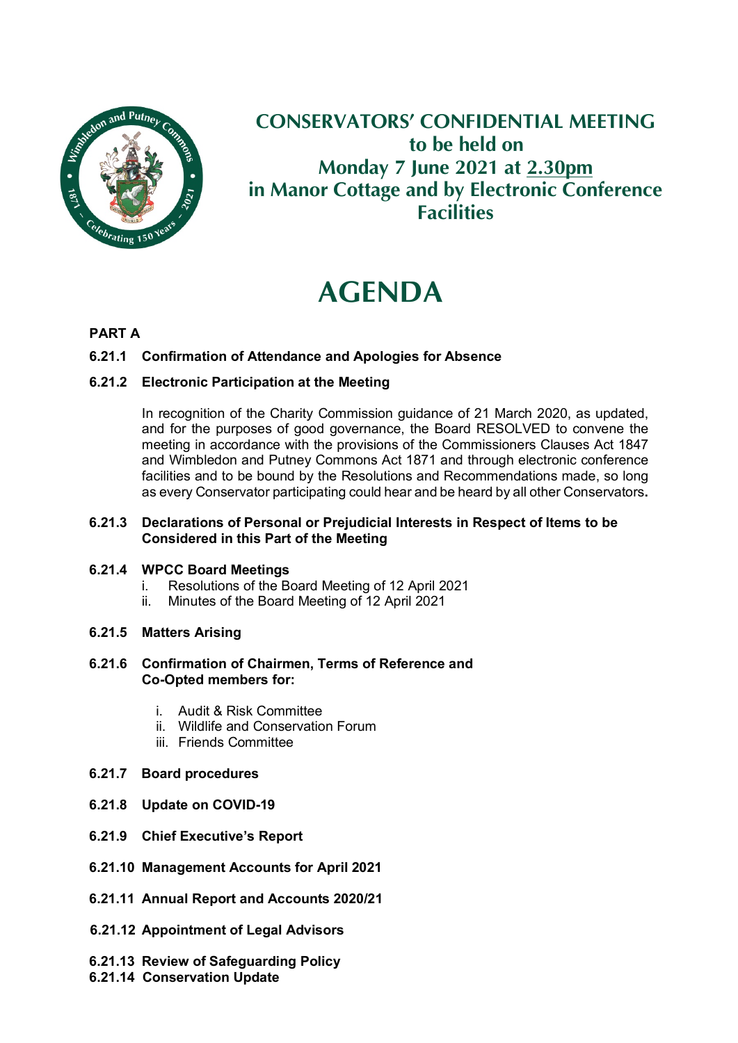

# **CONSERVATORS' CONFIDENTIAL MEETING to be held on Monday 7 June 2021 at 2.30pm in Manor Cottage and by Electronic Conference Facilities**

# **AGENDA**

# **PART A**

# **6.21.1 Confirmation of Attendance and Apologies for Absence**

# **6.21.2 Electronic Participation at the Meeting**

In recognition of the Charity Commission guidance of 21 March 2020, as updated, and for the purposes of good governance, the Board RESOLVED to convene the meeting in accordance with the provisions of the Commissioners Clauses Act 1847 and Wimbledon and Putney Commons Act 1871 and through electronic conference facilities and to be bound by the Resolutions and Recommendations made, so long as every Conservator participating could hear and be heard by all other Conservators**.**

### **6.21.3 Declarations of Personal or Prejudicial Interests in Respect of Items to be Considered in this Part of the Meeting**

#### **6.21.4 WPCC Board Meetings**

- i. Resolutions of the Board Meeting of 12 April 2021
- ii. Minutes of the Board Meeting of 12 April 2021

# **6.21.5 Matters Arising**

#### **6.21.6 Confirmation of Chairmen, Terms of Reference and Co-Opted members for:**

- i. Audit & Risk Committee
- ii. Wildlife and Conservation Forum
- iii. Friends Committee
- **6.21.7 Board procedures**
- **6.21.8 Update on COVID-19**
- **6.21.9 Chief Executive's Report**
- **6.21.10 Management Accounts for April 2021**
- **6.21.11 Annual Report and Accounts 2020/21**
- **6.21.12 Appointment of Legal Advisors**
- **6.21.13 Review of Safeguarding Policy**
- **6.21.14 Conservation Update**